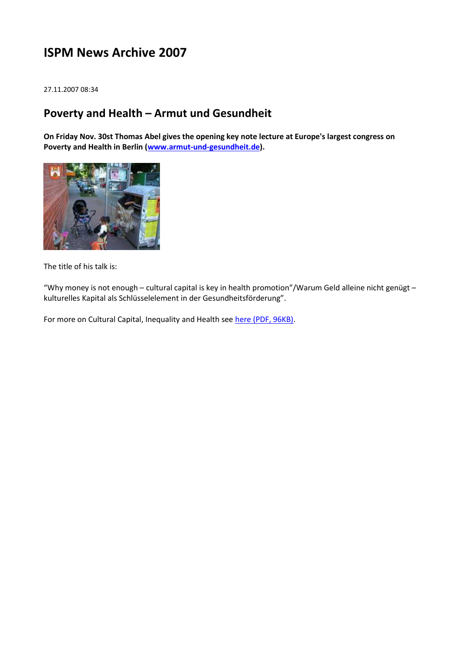# **ISPM News Archive 2007**

27.11.2007 08:34

### **Poverty and Health – Armut und Gesundheit**

**On Friday Nov. 30st Thomas Abel gives the opening key note lecture at Europe's largest congress on Poverty and Health in Berlin [\(www.armut-und-gesundheit.de\)](http://www.armut-und-gesundheit.de/).**



The title of his talk is:

"Why money is not enough – cultural capital is key in health promotion"/Warum Geld alleine nicht genügt – kulturelles Kapital als Schlüsselelement in der Gesundheitsförderung".

For more on Cultural Capital, Inequality and Health see [here \(PDF, 96KB\).](http://www.ispm.ch/fileadmin/doc_download/JECH_0711.pdf)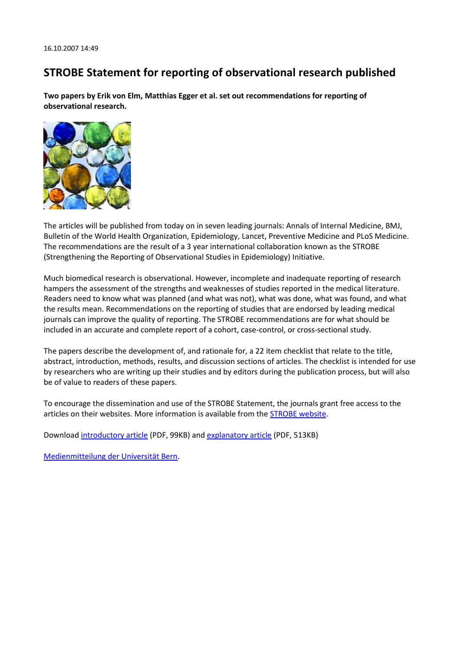## **STROBE Statement for reporting of observational research published**

**Two papers by Erik von Elm, Matthias Egger et al. set out recommendations for reporting of observational research.**



The articles will be published from today on in seven leading journals: Annals of Internal Medicine, BMJ, Bulletin of the World Health Organization, Epidemiology, Lancet, Preventive Medicine and PLoS Medicine. The recommendations are the result of a 3 year international collaboration known as the STROBE (Strengthening the Reporting of Observational Studies in Epidemiology) Initiative.

Much biomedical research is observational. However, incomplete and inadequate reporting of research hampers the assessment of the strengths and weaknesses of studies reported in the medical literature. Readers need to know what was planned (and what was not), what was done, what was found, and what the results mean. Recommendations on the reporting of studies that are endorsed by leading medical journals can improve the quality of reporting. The STROBE recommendations are for what should be included in an accurate and complete report of a cohort, case-control, or cross-sectional study.

The papers describe the development of, and rationale for, a 22 item checklist that relate to the title, abstract, introduction, methods, results, and discussion sections of articles. The checklist is intended for use by researchers who are writing up their studies and by editors during the publication process, but will also be of value to readers of these papers.

To encourage the dissemination and use of the STROBE Statement, the journals grant free access to the articles on their websites. More information is available from the **STROBE** website.

Download [introductory article](http://www.ispm.ch/fileadmin/doc_download/STROBE_10_1371_journal_pmed_0040296-L.pdf) (PDF, 99KB) and [explanatory article](http://www.ispm.ch/fileadmin/doc_download/STROBE_10_1371_journal_pmed_0040297-L.pdf) (PDF, 513KB)

[Medienmitteilung der Universität Bern.](http://www.kommunikation.unibe.ch/lenya/kommunikation/live/medien/mitteilungen/news/2007/strobe.html)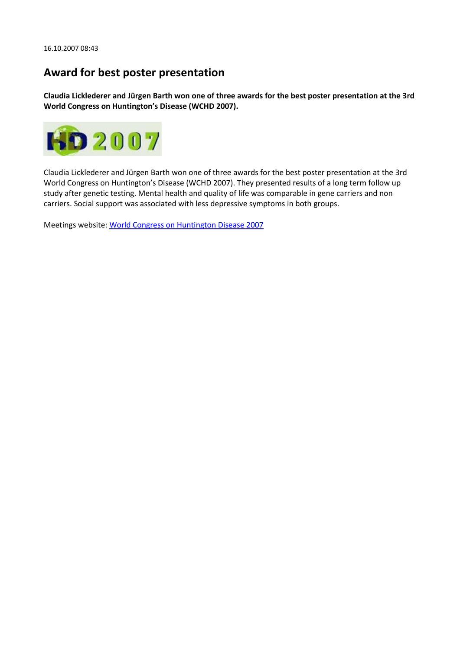### **Award for best poster presentation**

**Claudia Licklederer and Jürgen Barth won one of three awards for the best poster presentation at the 3rd World Congress on Huntington's Disease (WCHD 2007).**



Claudia Licklederer and Jürgen Barth won one of three awards for the best poster presentation at the 3rd World Congress on Huntington's Disease (WCHD 2007). They presented results of a long term follow up study after genetic testing. Mental health and quality of life was comparable in gene carriers and non carriers. Social support was associated with less depressive symptoms in both groups.

Meetings website[: World Congress on Huntington Disease 2007](http://www.worldcongress-hd.net/)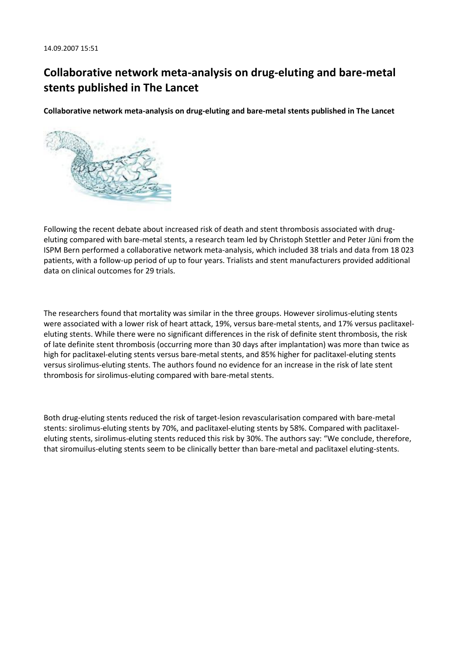# **Collaborative network meta-analysis on drug-eluting and bare-metal stents published in The Lancet**

**Collaborative network meta-analysis on drug-eluting and bare-metal stents published in The Lancet**



Following the recent debate about increased risk of death and stent thrombosis associated with drugeluting compared with bare-metal stents, a research team led by Christoph Stettler and Peter Jüni from the ISPM Bern performed a collaborative network meta-analysis, which included 38 trials and data from 18 023 patients, with a follow-up period of up to four years. Trialists and stent manufacturers provided additional data on clinical outcomes for 29 trials.

The researchers found that mortality was similar in the three groups. However sirolimus-eluting stents were associated with a lower risk of heart attack, 19%, versus bare-metal stents, and 17% versus paclitaxeleluting stents. While there were no significant differences in the risk of definite stent thrombosis, the risk of late definite stent thrombosis (occurring more than 30 days after implantation) was more than twice as high for paclitaxel-eluting stents versus bare-metal stents, and 85% higher for paclitaxel-eluting stents versus sirolimus-eluting stents. The authors found no evidence for an increase in the risk of late stent thrombosis for sirolimus-eluting compared with bare-metal stents.

Both drug-eluting stents reduced the risk of target-lesion revascularisation compared with bare-metal stents: sirolimus-eluting stents by 70%, and paclitaxel-eluting stents by 58%. Compared with paclitaxeleluting stents, sirolimus-eluting stents reduced this risk by 30%. The authors say: "We conclude, therefore, that siromuilus-eluting stents seem to be clinically better than bare-metal and paclitaxel eluting-stents.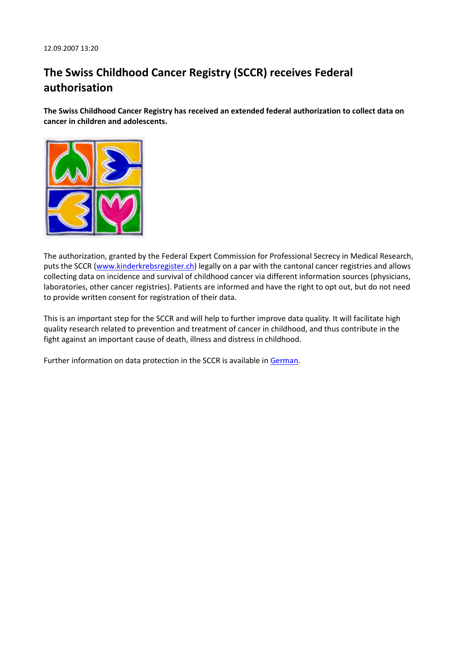# **The Swiss Childhood Cancer Registry (SCCR) receives Federal authorisation**

**The Swiss Childhood Cancer Registry has received an extended federal authorization to collect data on cancer in children and adolescents.**



The authorization, granted by the Federal Expert Commission for Professional Secrecy in Medical Research, puts the SCCR [\(www.kinderkrebsregister.ch\)](http://www.kinderkrebsregister.ch/) legally on a par with the cantonal cancer registries and allows collecting data on incidence and survival of childhood cancer via different information sources (physicians, laboratories, other cancer registries). Patients are informed and have the right to opt out, but do not need to provide written consent for registration of their data.

This is an important step for the SCCR and will help to further improve data quality. It will facilitate high quality research related to prevention and treatment of cancer in childhood, and thus contribute in the fight against an important cause of death, illness and distress in childhood.

Further information on data protection in the SCCR is available in [German.](http://www.ispm.ch/fileadmin/doc_download/NewsItems_SCCR_deutsch.pdf)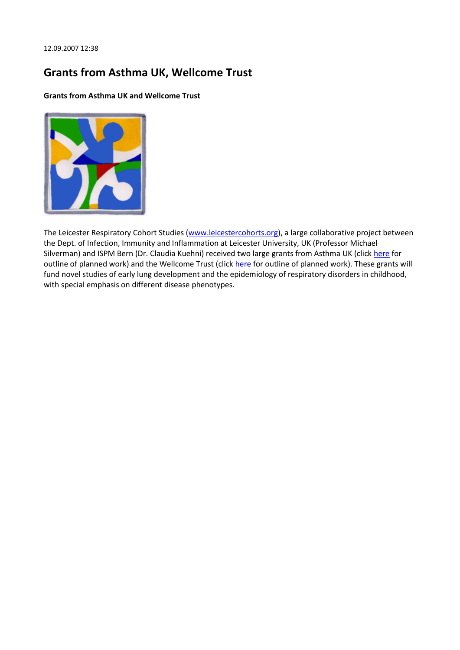## **Grants from Asthma UK, Wellcome Trust**

**Grants from Asthma UK and Wellcome Trust**



The Leicester Respiratory Cohort Studies [\(www.leicestercohorts.org\)](http://www.leicestercohorts.org/), a large collaborative project between the Dept. of Infection, Immunity and Inflammation at Leicester University, UK (Professor Michael Silverman) and ISPM Bern (Dr. Claudia Kuehni) received two large grants from Asthma UK (click [here](http://www.ispm.ch/fileadmin/doc_download/NewsItems_Leicester_AsthmaUK.pdf) for outline of planned work) and the Wellcome Trust (click [here](http://www.ispm.ch/fileadmin/doc_download/NewsItems_Leicester_WellcomeTrust.pdf) for outline of planned work). These grants will fund novel studies of early lung development and the epidemiology of respiratory disorders in childhood, with special emphasis on different disease phenotypes.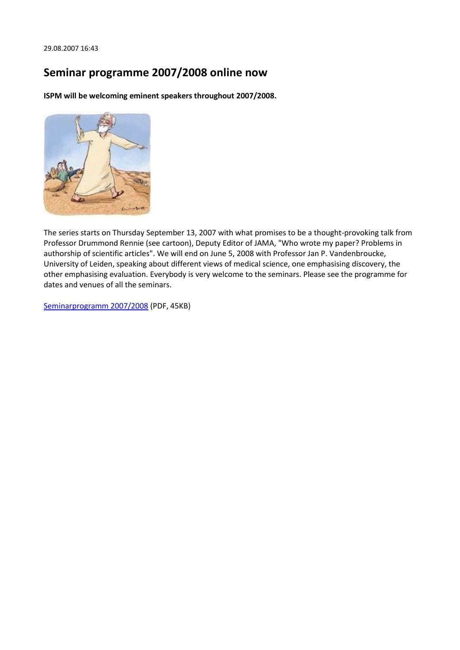#### **Seminar programme 2007/2008 online now**

**ISPM will be welcoming eminent speakers throughout 2007/2008.**



The series starts on Thursday September 13, 2007 with what promises to be a thought-provoking talk from Professor Drummond Rennie (see cartoon), Deputy Editor of JAMA, "Who wrote my paper? Problems in authorship of scientific articles". We will end on June 5, 2008 with Professor Jan P. Vandenbroucke, University of Leiden, speaking about different views of medical science, one emphasising discovery, the other emphasising evaluation. Everybody is very welcome to the seminars. Please see the programme for dates and venues of all the seminars.

[Seminarprogramm 2007/2008](http://www.ispm.ch/fileadmin/doc_download/Seminarprogramm_2007_2008.pdf) (PDF, 45KB)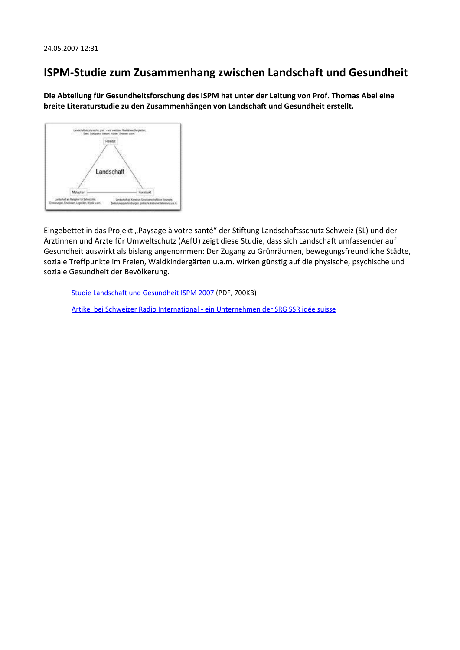### **ISPM-Studie zum Zusammenhang zwischen Landschaft und Gesundheit**

**Die Abteilung für Gesundheitsforschung des ISPM hat unter der Leitung von Prof. Thomas Abel eine breite Literaturstudie zu den Zusammenhängen von Landschaft und Gesundheit erstellt.**



Eingebettet in das Projekt "Paysage à votre santé" der Stiftung Landschaftsschutz Schweiz (SL) und der Ärztinnen und Ärzte für Umweltschutz (AefU) zeigt diese Studie, dass sich Landschaft umfassender auf Gesundheit auswirkt als bislang angenommen: Der Zugang zu Grünräumen, bewegungsfreundliche Städte, soziale Treffpunkte im Freien, Waldkindergärten u.a.m. wirken günstig auf die physische, psychische und soziale Gesundheit der Bevölkerung.

[Studie Landschaft und Gesundheit ISPM 2007](http://www.ispm.ch/fileadmin/doc_download/Landschaft_Gesundheit.pdf) (PDF, 700KB)

[Artikel bei Schweizer Radio International -](http://www.swissinfo.org/ger/swissinfo.html?siteSect=105&sid=7847447) ein Unternehmen der SRG SSR idée suisse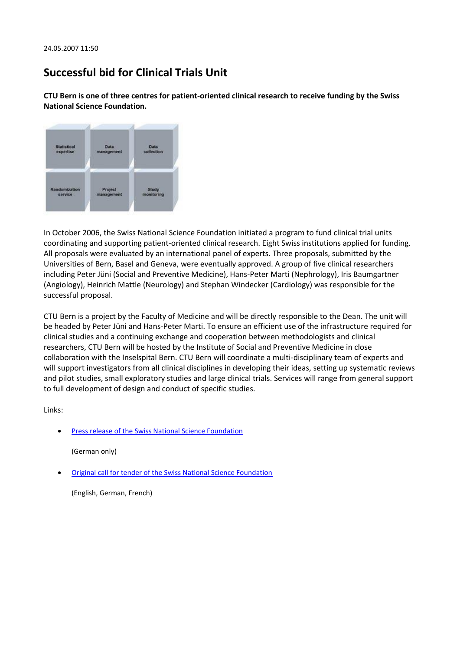## **Successful bid for Clinical Trials Unit**

**CTU Bern is one of three centres for patient-oriented clinical research to receive funding by the Swiss National Science Foundation.**



In October 2006, the Swiss National Science Foundation initiated a program to fund clinical trial units coordinating and supporting patient-oriented clinical research. Eight Swiss institutions applied for funding. All proposals were evaluated by an international panel of experts. Three proposals, submitted by the Universities of Bern, Basel and Geneva, were eventually approved. A group of five clinical researchers including Peter Jüni (Social and Preventive Medicine), Hans-Peter Marti (Nephrology), Iris Baumgartner (Angiology), Heinrich Mattle (Neurology) and Stephan Windecker (Cardiology) was responsible for the successful proposal.

CTU Bern is a project by the Faculty of Medicine and will be directly responsible to the Dean. The unit will be headed by Peter Jüni and Hans-Peter Marti. To ensure an efficient use of the infrastructure required for clinical studies and a continuing exchange and cooperation between methodologists and clinical researchers, CTU Bern will be hosted by the Institute of Social and Preventive Medicine in close collaboration with the Inselspital Bern. CTU Bern will coordinate a multi-disciplinary team of experts and will support investigators from all clinical disciplines in developing their ideas, setting up systematic reviews and pilot studies, small exploratory studies and large clinical trials. Services will range from general support to full development of design and conduct of specific studies.

Links:

[Press release of the Swiss National Science Foundation](http://www.snf.ch/D/NewsPool/Seiten/mm_07mai23.aspx)

(German only)

[Original call for tender of the Swiss National Science Foundation](http://www.snf.ch/E/funding/projects/Clinical-Trial-Units/Seiten/default.aspx)

(English, German, French)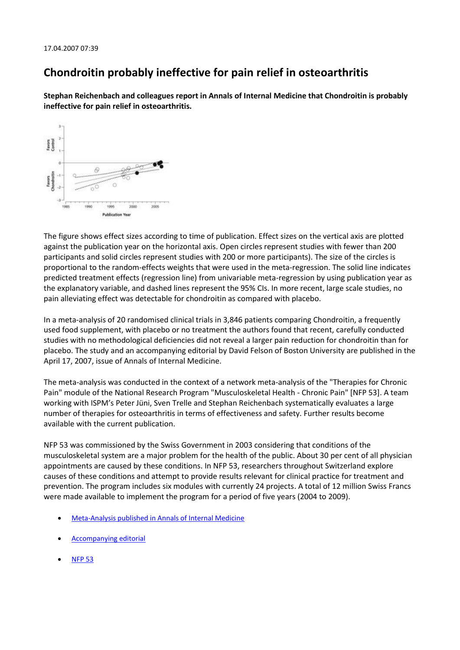## **Chondroitin probably ineffective for pain relief in osteoarthritis**

**Stephan Reichenbach and colleagues report in Annals of Internal Medicine that Chondroitin is probably ineffective for pain relief in osteoarthritis.**



The figure shows effect sizes according to time of publication. Effect sizes on the vertical axis are plotted against the publication year on the horizontal axis. Open circles represent studies with fewer than 200 participants and solid circles represent studies with 200 or more participants). The size of the circles is proportional to the random-effects weights that were used in the meta-regression. The solid line indicates predicted treatment effects (regression line) from univariable meta-regression by using publication year as the explanatory variable, and dashed lines represent the 95% CIs. In more recent, large scale studies, no pain alleviating effect was detectable for chondroitin as compared with placebo.

In a meta-analysis of 20 randomised clinical trials in 3,846 patients comparing Chondroitin, a frequently used food supplement, with placebo or no treatment the authors found that recent, carefully conducted studies with no methodological deficiencies did not reveal a larger pain reduction for chondroitin than for placebo. The study and an accompanying editorial by David Felson of Boston University are published in the April 17, 2007, issue of Annals of Internal Medicine.

The meta-analysis was conducted in the context of a network meta-analysis of the "Therapies for Chronic Pain" module of the National Research Program "Musculoskeletal Health - Chronic Pain" [NFP 53]. A team working with ISPM's Peter Jüni, Sven Trelle and Stephan Reichenbach systematically evaluates a large number of therapies for osteoarthritis in terms of effectiveness and safety. Further results become available with the current publication.

NFP 53 was commissioned by the Swiss Government in 2003 considering that conditions of the musculoskeletal system are a major problem for the health of the public. About 30 per cent of all physician appointments are caused by these conditions. In NFP 53, researchers throughout Switzerland explore causes of these conditions and attempt to provide results relevant for clinical practice for treatment and prevention. The program includes six modules with currently 24 projects. A total of 12 million Swiss Francs were made available to implement the program for a period of five years (2004 to 2009).

- [Meta-Analysis published in Annals of Internal Medicine](http://www.annals.org/cgi/content/abstract/146/8/580)
- [Accompanying editorial](http://www.annals.org/cgi/content/full/146/8/611)
- [NFP 53](http://www.nfp53.ch/)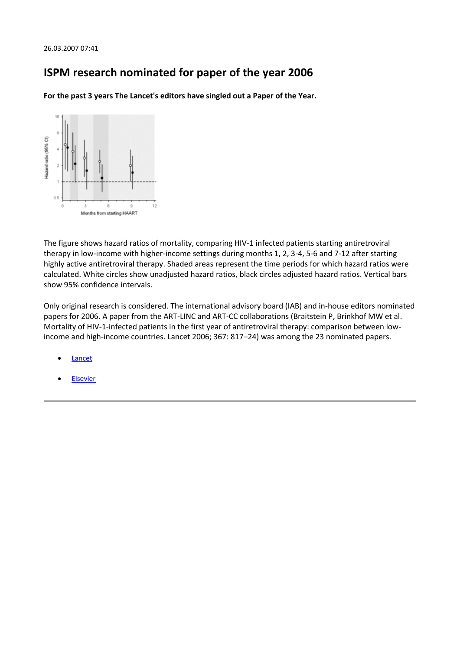### **ISPM research nominated for paper of the year 2006**

**For the past 3 years The Lancet's editors have singled out a Paper of the Year.**



The figure shows hazard ratios of mortality, comparing HIV-1 infected patients starting antiretroviral therapy in low-income with higher-income settings during months 1, 2, 3-4, 5-6 and 7-12 after starting highly active antiretroviral therapy. Shaded areas represent the time periods for which hazard ratios were calculated. White circles show unadjusted hazard ratios, black circles adjusted hazard ratios. Vertical bars show 95% confidence intervals.

Only original research is considered. The international advisory board (IAB) and in-house editors nominated papers for 2006. A paper from the ART-LINC and ART-CC collaborations (Braitstein P, Brinkhof MW et al. Mortality of HIV-1-infected patients in the first year of antiretroviral therapy: comparison between lowincome and high-income countries. Lancet 2006; 367: 817–24) was among the 23 nominated papers.

- [Lancet](http://www.thelancet.com/journals/lancet/article/PIIS014067360760049X/fulltext)
- [Elsevier](http://linkinghub.elsevier.com/retrieve/pii/S0140-6736%2806%2968337-2)